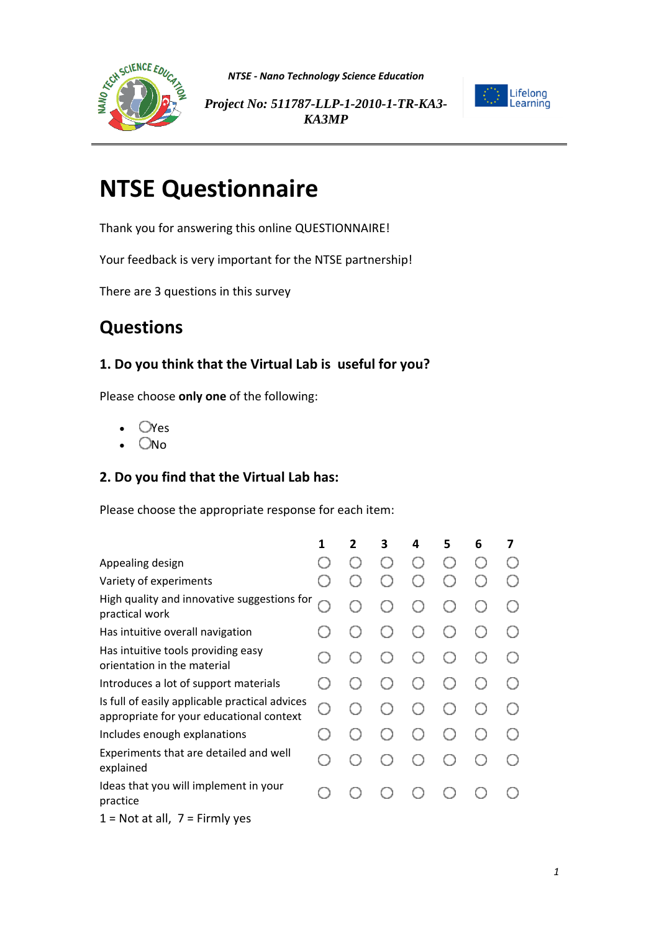

*NTSE - Nano Technology Science Education*



*Project No: 511787-LLP-1-2010-1-TR-KA3- KA3MP*

# **NTSE Questionnaire**

Thank you for answering this online QUESTIONNAIRE!

Your feedback is very important for the NTSE partnership!

There are 3 questions in this survey

## **Questions**

### **1. Do you think that the Virtual Lab is useful for you?**

Please choose **only one** of the following:

- **O**Yes
- $O$ No

#### **2. Do you find that the Virtual Lab has:**

Please choose the appropriate response for each item:

|                                                                                            | 1 | 2 | 3 | 4   | 5 | 6 | 7   |
|--------------------------------------------------------------------------------------------|---|---|---|-----|---|---|-----|
| Appealing design                                                                           |   |   |   |     |   |   |     |
| Variety of experiments                                                                     |   |   |   |     |   |   |     |
| High quality and innovative suggestions for<br>practical work                              |   |   |   |     |   |   | ( ) |
| Has intuitive overall navigation                                                           |   |   |   |     |   |   |     |
| Has intuitive tools providing easy<br>orientation in the material                          |   |   |   | ( ) |   |   |     |
| Introduces a lot of support materials                                                      |   |   |   |     |   |   |     |
| Is full of easily applicable practical advices<br>appropriate for your educational context | Ω |   |   |     |   |   |     |
| Includes enough explanations                                                               |   |   |   |     |   |   |     |
| Experiments that are detailed and well<br>explained                                        |   |   |   |     |   |   |     |
| Ideas that you will implement in your<br>practice                                          |   |   |   |     |   |   |     |
| $1 =$ Not at all, $7 =$ Firmly yes                                                         |   |   |   |     |   |   |     |